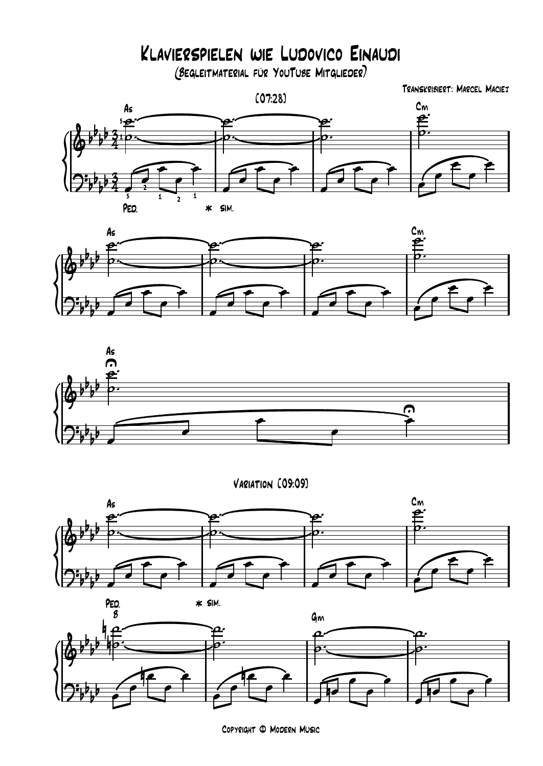Klavierspielen wie Ludovico Einaudi

(Begleitmaterial für YouTube Mitglieder)

{<br>(p Transkribiert: Marcel Maciej [07:28]  $rac{3}{4}$  $rac{3}{4}$  $\delta^{p_1 p_2}$  $b_1 b_3$  $\frac{1}{4}$  $\frac{1}{210}$ <u>tip - </u>  $5 - 0$  $A_s$  $2:553$  $b_1 b_2$  $b^{\nu}$ <sup>2</sup>  $\frac{1}{2}$ 5 2 — L 1  $\frac{1}{2}$  1 1 PEO.  $\qquad \qquad \ast$  sim.  $\mathbf{e}$   $\overline{\phantom{a}}$  $\frac{1}{\infty}$  $\overline{y}$  $\overline{\ }$  $\overbrace{\mathbf{p}}$  $\frac{1}{\circ}$ . ™ ˙  $\frac{1}{\rho}$ . ™  $\frac{1}{2}$  $\frac{1}{2}$   $\frac{1}{2}$  $\rightarrow$ œ  $\overline{\bullet}$   $\overline{\phantom{a}}$  $\overline{\phantom{a}}$  $2\sqrt{2}$ œ œ  $\overline{\cdot}$   $\overline{\phantom{0}}$  $\overline{\phantom{a}}$  $2\sqrt{2}$  $\rightarrow$  $\overline{\phantom{a}}$  $\epsilon$  /  $\frac{1}{2}$  $\epsilon$   $\uparrow$   $\epsilon$   $\uparrow$  $\sum_{i=1}^{\infty}$ œ œ





Variation [09:09]





Copyright © Modern Music